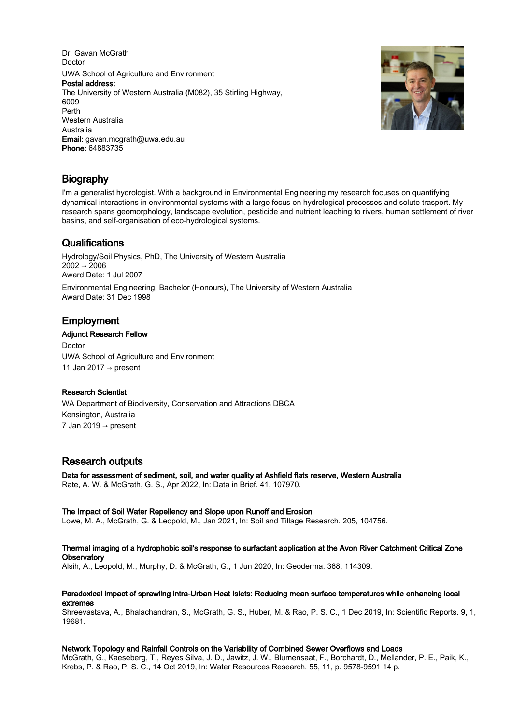Dr. Gavan McGrath Doctor UWA School of Agriculture and Environment Postal address: The University of Western Australia (M082), 35 Stirling Highway, 6009 Perth Western Australia Australia Email: gavan.mcgrath@uwa.edu.au Phone: 64883735



# Biography

I'm a generalist hydrologist. With a background in Environmental Engineering my research focuses on quantifying dynamical interactions in environmental systems with a large focus on hydrological processes and solute trasport. My research spans geomorphology, landscape evolution, pesticide and nutrient leaching to rivers, human settlement of river basins, and self-organisation of eco-hydrological systems.

# **Qualifications**

Hydrology/Soil Physics, PhD, The University of Western Australia  $2002 \rightarrow 2006$ Award Date: 1 Jul 2007

Environmental Engineering, Bachelor (Honours), The University of Western Australia Award Date: 31 Dec 1998

# Employment

# Adjunct Research Fellow

Doctor UWA School of Agriculture and Environment 11 Jan 2017 → present

# Research Scientist

WA Department of Biodiversity, Conservation and Attractions DBCA Kensington, Australia 7 Jan 2019 → present

# Research outputs

Data for assessment of sediment, soil, and water quality at Ashfield flats reserve, Western Australia Rate, A. W. & McGrath, G. S., Apr 2022, In: Data in Brief. 41, 107970.

# The Impact of Soil Water Repellency and Slope upon Runoff and Erosion

Lowe, M. A., McGrath, G. & Leopold, M., Jan 2021, In: Soil and Tillage Research. 205, 104756.

# Thermal imaging of a hydrophobic soil's response to surfactant application at the Avon River Catchment Critical Zone **Observatory**

Alsih, A., Leopold, M., Murphy, D. & McGrath, G., 1 Jun 2020, In: Geoderma. 368, 114309.

# Paradoxical impact of sprawling intra-Urban Heat Islets: Reducing mean surface temperatures while enhancing local extremes

Shreevastava, A., Bhalachandran, S., McGrath, G. S., Huber, M. & Rao, P. S. C., 1 Dec 2019, In: Scientific Reports. 9, 1, 19681.

# Network Topology and Rainfall Controls on the Variability of Combined Sewer Overflows and Loads

McGrath, G., Kaeseberg, T., Reyes Silva, J. D., Jawitz, J. W., Blumensaat, F., Borchardt, D., Mellander, P. E., Paik, K., Krebs, P. & Rao, P. S. C., 14 Oct 2019, In: Water Resources Research. 55, 11, p. 9578-9591 14 p.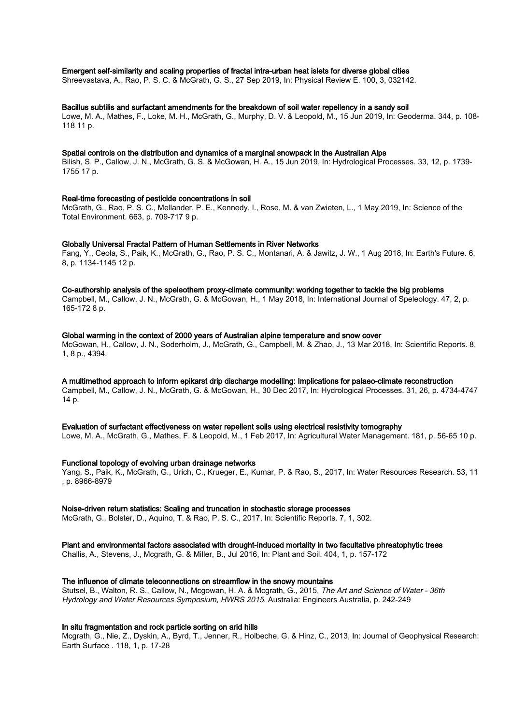## Emergent self-similarity and scaling properties of fractal intra-urban heat islets for diverse global cities

Shreevastava, A., Rao, P. S. C. & McGrath, G. S., 27 Sep 2019, In: Physical Review E. 100, 3, 032142.

#### Bacillus subtilis and surfactant amendments for the breakdown of soil water repellency in a sandy soil

Lowe, M. A., Mathes, F., Loke, M. H., McGrath, G., Murphy, D. V. & Leopold, M., 15 Jun 2019, In: Geoderma. 344, p. 108- 118 11 p.

#### Spatial controls on the distribution and dynamics of a marginal snowpack in the Australian Alps

Bilish, S. P., Callow, J. N., McGrath, G. S. & McGowan, H. A., 15 Jun 2019, In: Hydrological Processes. 33, 12, p. 1739- 1755 17 p.

## Real-time forecasting of pesticide concentrations in soil

McGrath, G., Rao, P. S. C., Mellander, P. E., Kennedy, I., Rose, M. & van Zwieten, L., 1 May 2019, In: Science of the Total Environment. 663, p. 709-717 9 p.

#### Globally Universal Fractal Pattern of Human Settlements in River Networks

Fang, Y., Ceola, S., Paik, K., McGrath, G., Rao, P. S. C., Montanari, A. & Jawitz, J. W., 1 Aug 2018, In: Earth's Future. 6, 8, p. 1134-1145 12 p.

#### Co-authorship analysis of the speleothem proxy-climate community: working together to tackle the big problems

Campbell, M., Callow, J. N., McGrath, G. & McGowan, H., 1 May 2018, In: International Journal of Speleology. 47, 2, p. 165-172 8 p.

## Global warming in the context of 2000 years of Australian alpine temperature and snow cover

McGowan, H., Callow, J. N., Soderholm, J., McGrath, G., Campbell, M. & Zhao, J., 13 Mar 2018, In: Scientific Reports. 8, 1, 8 p., 4394.

# A multimethod approach to inform epikarst drip discharge modelling: Implications for palaeo-climate reconstruction

Campbell, M., Callow, J. N., McGrath, G. & McGowan, H., 30 Dec 2017, In: Hydrological Processes. 31, 26, p. 4734-4747 14 p.

#### Evaluation of surfactant effectiveness on water repellent soils using electrical resistivity tomography

Lowe, M. A., McGrath, G., Mathes, F. & Leopold, M., 1 Feb 2017, In: Agricultural Water Management. 181, p. 56-65 10 p.

#### Functional topology of evolving urban drainage networks

Yang, S., Paik, K., McGrath, G., Urich, C., Krueger, E., Kumar, P. & Rao, S., 2017, In: Water Resources Research. 53, 11 , p. 8966-8979

#### Noise-driven return statistics: Scaling and truncation in stochastic storage processes

McGrath, G., Bolster, D., Aquino, T. & Rao, P. S. C., 2017, In: Scientific Reports. 7, 1, 302.

## Plant and environmental factors associated with drought-induced mortality in two facultative phreatophytic trees

Challis, A., Stevens, J., Mcgrath, G. & Miller, B., Jul 2016, In: Plant and Soil. 404, 1, p. 157-172

#### The influence of climate teleconnections on streamflow in the snowy mountains

Stutsel, B., Walton, R. S., Callow, N., Mcgowan, H. A. & Mcgrath, G., 2015, The Art and Science of Water - 36th Hydrology and Water Resources Symposium, HWRS 2015. Australia: Engineers Australia, p. 242-249

### In situ fragmentation and rock particle sorting on arid hills

Mcgrath, G., Nie, Z., Dyskin, A., Byrd, T., Jenner, R., Holbeche, G. & Hinz, C., 2013, In: Journal of Geophysical Research: Earth Surface . 118, 1, p. 17-28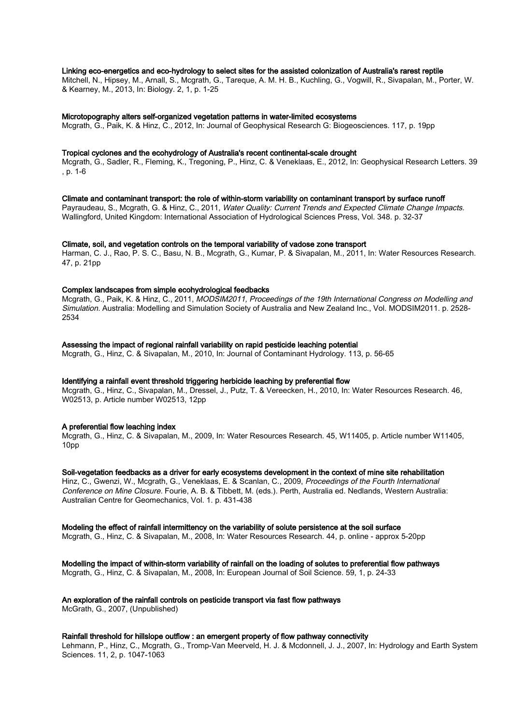## Linking eco-energetics and eco-hydrology to select sites for the assisted colonization of Australia's rarest reptile

Mitchell, N., Hipsey, M., Arnall, S., Mcgrath, G., Tareque, A. M. H. B., Kuchling, G., Vogwill, R., Sivapalan, M., Porter, W. & Kearney, M., 2013, In: Biology. 2, 1, p. 1-25

#### Microtopography alters self-organized vegetation patterns in water-limited ecosystems

Mcgrath, G., Paik, K. & Hinz, C., 2012, In: Journal of Geophysical Research G: Biogeosciences. 117, p. 19pp

#### Tropical cyclones and the ecohydrology of Australia's recent continental-scale drought

Mcgrath, G., Sadler, R., Fleming, K., Tregoning, P., Hinz, C. & Veneklaas, E., 2012, In: Geophysical Research Letters. 39 , p. 1-6

#### Climate and contaminant transport: the role of within-storm variability on contaminant transport by surface runoff

Payraudeau, S., Mcgrath, G. & Hinz, C., 2011, Water Quality: Current Trends and Expected Climate Change Impacts. Wallingford, United Kingdom: International Association of Hydrological Sciences Press, Vol. 348. p. 32-37

## Climate, soil, and vegetation controls on the temporal variability of vadose zone transport

Harman, C. J., Rao, P. S. C., Basu, N. B., Mcgrath, G., Kumar, P. & Sivapalan, M., 2011, In: Water Resources Research. 47, p. 21pp

#### Complex landscapes from simple ecohydrological feedbacks

Mcgrath, G., Paik, K. & Hinz, C., 2011, MODSIM2011, Proceedings of the 19th International Congress on Modelling and Simulation. Australia: Modelling and Simulation Society of Australia and New Zealand Inc., Vol. MODSIM2011. p. 2528- 2534

## Assessing the impact of regional rainfall variability on rapid pesticide leaching potential

Mcgrath, G., Hinz, C. & Sivapalan, M., 2010, In: Journal of Contaminant Hydrology. 113, p. 56-65

#### Identifying a rainfall event threshold triggering herbicide leaching by preferential flow

Mcgrath, G., Hinz, C., Sivapalan, M., Dressel, J., Putz, T. & Vereecken, H., 2010, In: Water Resources Research. 46, W02513, p. Article number W02513, 12pp

#### A preferential flow leaching index

Mcgrath, G., Hinz, C. & Sivapalan, M., 2009, In: Water Resources Research. 45, W11405, p. Article number W11405, 10pp

## Soil-vegetation feedbacks as a driver for early ecosystems development in the context of mine site rehabilitation

Hinz, C., Gwenzi, W., Mcgrath, G., Veneklaas, E. & Scanlan, C., 2009, Proceedings of the Fourth International Conference on Mine Closure. Fourie, A. B. & Tibbett, M. (eds.). Perth, Australia ed. Nedlands, Western Australia: Australian Centre for Geomechanics, Vol. 1. p. 431-438

## Modeling the effect of rainfall intermittency on the variability of solute persistence at the soil surface

Mcgrath, G., Hinz, C. & Sivapalan, M., 2008, In: Water Resources Research. 44, p. online - approx 5-20pp

# Modelling the impact of within-storm variability of rainfall on the loading of solutes to preferential flow pathways

Mcgrath, G., Hinz, C. & Sivapalan, M., 2008, In: European Journal of Soil Science. 59, 1, p. 24-33

#### An exploration of the rainfall controls on pesticide transport via fast flow pathways

McGrath, G., 2007, (Unpublished)

## Rainfall threshold for hillslope outflow : an emergent property of flow pathway connectivity

Lehmann, P., Hinz, C., Mcgrath, G., Tromp-Van Meerveld, H. J. & Mcdonnell, J. J., 2007, In: Hydrology and Earth System Sciences. 11, 2, p. 1047-1063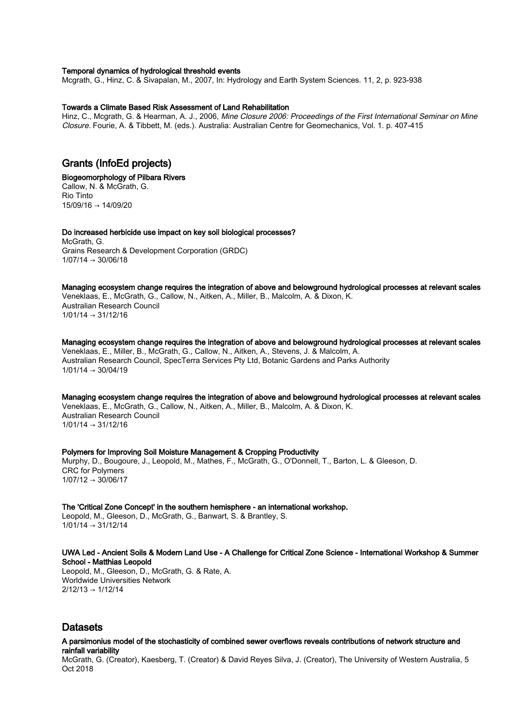### Temporal dynamics of hydrological threshold events

Mcgrath, G., Hinz, C. & Sivapalan, M., 2007, In: Hydrology and Earth System Sciences. 11, 2, p. 923-938

#### Towards a Climate Based Risk Assessment of Land Rehabilitation

Hinz, C., Mcgrath, G. & Hearman, A. J., 2006, Mine Closure 2006: Proceedings of the First International Seminar on Mine Closure. Fourie, A. & Tibbett, M. (eds.). Australia: Australian Centre for Geomechanics, Vol. 1. p. 407-415

# Grants (InfoEd projects)

#### Biogeomorphology of Pilbara Rivers Callow, N. & McGrath, G.

Rio Tinto  $15/09/16 \rightarrow 14/09/20$ 

#### Do increased herbicide use impact on key soil biological processes? McGrath, G.

Grains Research & Development Corporation (GRDC)  $1/07/14 \rightarrow 30/06/18$ 

Managing ecosystem change requires the integration of above and belowground hydrological processes at relevant scales Veneklaas, E., McGrath, G., Callow, N., Aitken, A., Miller, B., Malcolm, A. & Dixon, K. Australian Research Council  $1/01/14 \rightarrow 31/12/16$ 

Managing ecosystem change requires the integration of above and belowground hydrological processes at relevant scales Veneklaas, E., Miller, B., McGrath, G., Callow, N., Aitken, A., Stevens, J. & Malcolm, A. Australian Research Council, SpecTerra Services Pty Ltd, Botanic Gardens and Parks Authority  $1/01/14 \rightarrow 30/04/19$ 

Managing ecosystem change requires the integration of above and belowground hydrological processes at relevant scales Veneklaas, E., McGrath, G., Callow, N., Aitken, A., Miller, B., Malcolm, A. & Dixon, K. Australian Research Council  $1/01/14 \rightarrow 31/12/16$ 

# Polymers for Improving Soil Moisture Management & Cropping Productivity

Murphy, D., Bougoure, J., Leopold, M., Mathes, F., McGrath, G., O'Donnell, T., Barton, L. & Gleeson, D. CRC for Polymers  $1/07/12 \rightarrow 30/06/17$ 

#### The 'Critical Zone Concept' in the southern hemisphere - an international workshop.

Leopold, M., Gleeson, D., McGrath, G., Banwart, S. & Brantley, S.  $1/01/14 \rightarrow 31/12/14$ 

## UWA Led - Ancient Soils & Modern Land Use - A Challenge for Critical Zone Science - International Workshop & Summer School - Matthias Leopold

Leopold, M., Gleeson, D., McGrath, G. & Rate, A. Worldwide Universities Network  $2/12/13 \rightarrow 1/12/14$ 

# Datasets

## A parsimonius model of the stochasticity of combined sewer overflows reveals contributions of network structure and rainfall variability

McGrath, G. (Creator), Kaesberg, T. (Creator) & David Reyes Silva, J. (Creator), The University of Western Australia, 5 Oct 2018